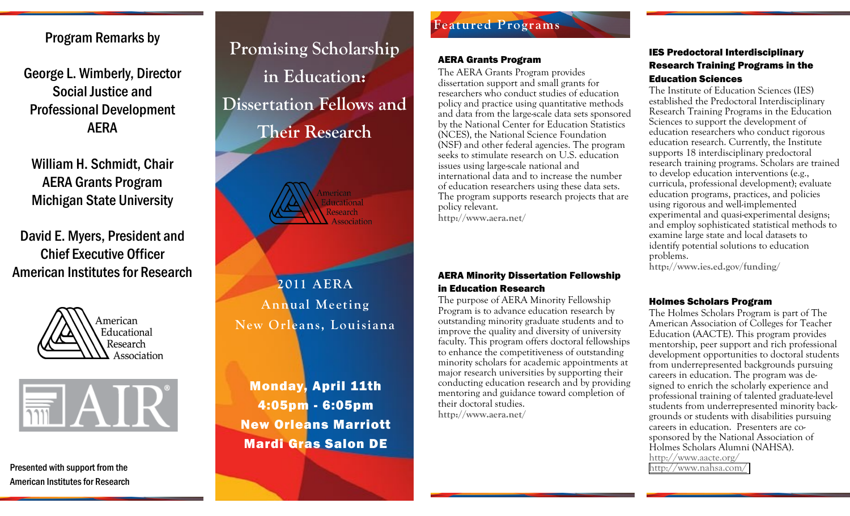Program Remarks by

George L. Wimberly, Director Social Justice and Professional Development AERA

William H. Schmidt, Chair AERA Grants Program Michigan State University

David E. Myers, President and Chief Executive Officer American Institutes for Research





Presented with support from the American Institutes for Research

# Promising Scholarship in Education: **Dissertation Fellows and Their Research**



**2011\$AERA\$ Annual\$Meeting New\$Orleans,\$Louisiana**

Monday, April 11th 4:05pm - 6:05pm New Orleans Marriott Mardi Gras Salon DE

# **Featured\$Programs**

### AERA Grants Program

The AERA Grants Program provides dissertation support and small grants for researchers who conduct studies of education policy and practice using quantitative methods and data from the large-scale data sets sponsored by the National Center for Education Statistics (NCES), the National Science Foundation (NSF) and other federal agencies. The program seeks to stimulate research on U.S. education issues using large-scale national and international data and to increase the number of education researchers using these data sets. The program supports research projects that are policy relevant.

**http://www.aera.net/**

## AERA Minority Dissertation Fellowship in Education Research

The purpose of AERA Minority Fellowship Program is to advance education research by outstanding minority graduate students and to improve the quality and diversity of university faculty. This program offers doctoral fellowships to enhance the competitiveness of outstanding minority scholars for academic appointments at major research universities by supporting their conducting education research and by providing mentoring and guidance toward completion of their doctoral studies.

**http://www.aera.net/**

## IES Predoctoral Interdisciplinary Research Training Programs in the Education Sciences

The Institute of Education Sciences (IES) established the Predoctoral Interdisciplinary Research Training Programs in the Education Sciences to support the development of education researchers who conduct rigorous education research. Currently, the Institute supports 18 interdisciplinary predoctoral research training programs. Scholars are trained to develop education interventions (e.g., curricula, professional development); evaluate education programs, practices, and policies using rigorous and well-implemented experimental and quasi-experimental designs; and employ sophisticated statistical methods to examine large state and local datasets to identify potential solutions to education problems.\$

**http://www.ies.ed.gov/funding/**

## Holmes Scholars Program

The Holmes Scholars Program is part of The American Association of Colleges for Teacher Education (AACTE). This program provides mentorship, peer support and rich professional development opportunities to doctoral students from underrepresented backgrounds pursuing careers in education. The program was designed to enrich the scholarly experience and professional training of talented graduate-level students from underrepresented minority backgrounds or students with disabilities pursuing careers in education. Presenters are cosponsored by the National Association of Holmes Scholars Alumni (NAHSA). http://www.aacte.org/ [http://www.nahsa.com/\\$\\$](http://ww.nahsa.com/)